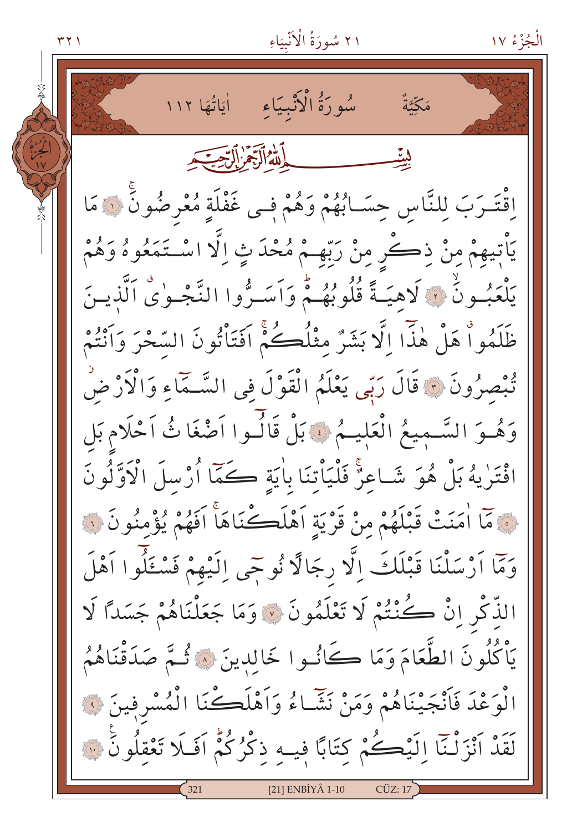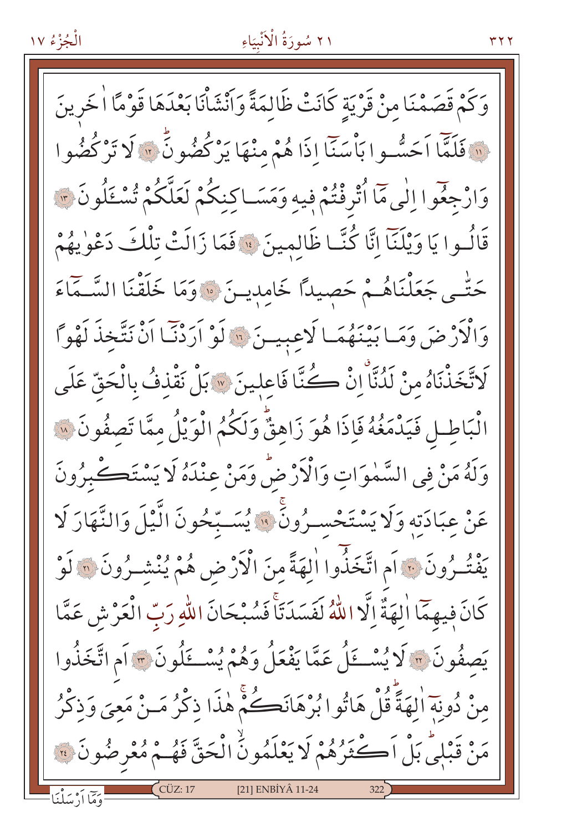الْجُزْءُ ١٧ وَكَمْ قَصَمْنَا مِنْ قَرْيَةٍ كَانَتْ ظَالِمَةً وَأَنْشَأْنَا بَعْدَهَا قَوْمًا الْخَرِينَ لِهَ فَلَمَّا اَحَسُّوا بَأْسَنَّا إِذَا هُمْ مِنْهَا يَرْكُضُونٍّ ﴾ لَا تَرْكُضُوا وَارْجِعُوا إِلَى مَّا أُتْرِفْتُمْ فِيهِ وَمَسَـاكِنِكُمْ لَعَلَّكُمْ تُسْـئِلُونَ ﴾ قَالُوا يَا وَيْلَنَّا إِنَّا كُنَّـا ظَالِمِينَ ﴾ فَمَا زَالَتْ تِلْكَ دَعْوٰيهُمْ حَتّٰـى جَعَلْنَاهُـمْ حَصِيدًا خَامديـنَ ۞ وَمَا خَلَقْنَا السَّـمَاءَ وَالْأَرْضَ وَمَا بَيْنَهُمَا لَاعِبِينَ ۚ إِلَا لَوْ اَرَدْنَا الْنَ نَتَّخِذَ لَهْواً لَاتَّخَذْنَاهُ مِنْ لَدُنَّا إِنْ كُنَّا فَاعِلِينَ \* بَلْ نَقْذِفُ بِالْحَقِّ عَلَى الْبَاطِلِ فَيَدْمَغُهُ فَإِذَا هُوَ زَاهِقٌّ وَلَكُمُ الْوَيْلُ مِمَّا تَصفُونَ ۞ وَلَهُ مَنْ فِي السَّمٰوَاتِ وَالْأَرْضِّ وَمَنْ عِنْدَهُ لَا يَسْتَكُّبِرُونَ عَنْ عِبَادَتِهِ وَلَا يَسْتَحْسَـرُونَ ۚ ۚ وَالسَّـبِّحُونَ الَّيْلَ وَالنَّهَارَ لَا يَفْتُرُونَ ٢٠٠ أَم اتَّخَذُوا الهَةً مِنَ الْأَرْضِ هُمْ يُنْشِرُونَ ٣٠ لَوْ كَانَ فِيهِمَّا اٰلهَةٌ إِلَّا اللَّهُ لَفَسَدَنَا فَسُبْحَانَ اللَّهِ رَبِّ الْعَرْشِ عَمَّا يَصفُونَ ۞ لَا يُسْتَلُ عَمَّا يَفْعَلُ وَهُمْ يُسْتَلُونَ ۞ أَمِ اتَّخَذُوا منْ دُونِهَ الهَةَّ قُلْ هَاتُوا بُرْهَانَڪُمْ هٰذَا ذِكْرُ مَـنْ مَعِيَ وَذِكْرُ مَنْ قَبْلِيُّ بَلْ اَكْثَرُهُمْ لَا يَعْلَمُونَٰٓ الْحَقَّ فَهُـمْ مُعْرِضُونَ ۞

[21] ENBİYÂ 11-24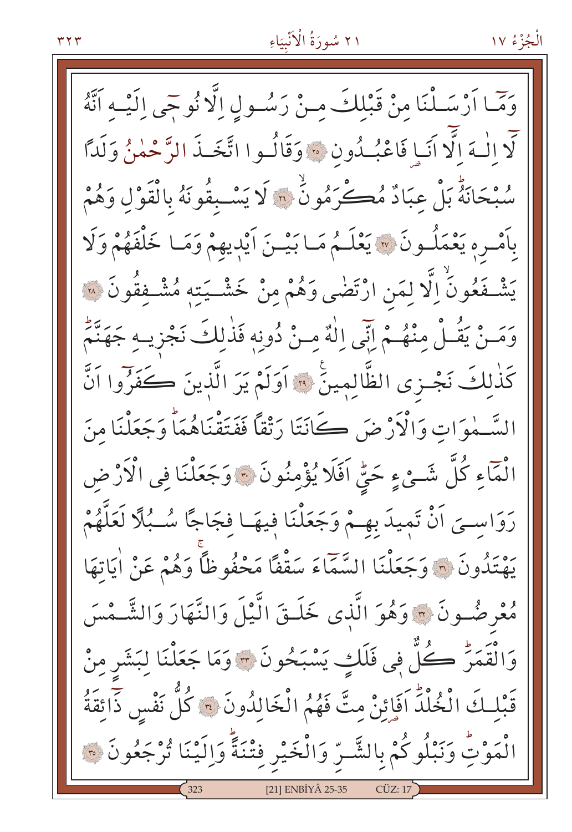وَمَّا أَرْسَلْنَا مِنْ قَبْلِكَ مِنْ رَسُولِ اِلَّا نُوحِي اِلَيْهِ أَنَّهُ لَّا الْـهَ الَّا أَنَـا فَاعْبُـدُون \* وَقَالُـوا اتَّخَـذَ الرَّحْمٰنُ وَلَدًّا سُبْحَانَهُ بَلْ عِبَادٌ مُكْرَمُونٌ ۞ لَا يَسْبِقُونَهُ بِالْقَوْلِ وَهُمْ بِأَمْـرِهِ يَعْمَلُـونَ ۞ يَعْلَـمُ مَـا بَيْـنَ أَيْدِيهِمْ وَمَـا خَلْفَهُمْ وَلَا يَشْـفَعُونَ اِلَّا لِمَنِ ارْتَضٰى وَهُمْ مِنْ خَشْـيَتِهِ مُشْـفِقُونَ ۞ وَمَــنْ يَقُــلْ مِنْهُــمْ إِنِّي اِلْهٌ مِــنْ دُونِه فَذٰلِكَ نَجْزِيــهِ جَهَنَّمٌ كَذٰلِكَ نَجْـزى الظَّالِمينَ \* اَوَلَمْ يَرَ الَّذينَ كَفَرُوا اَنَّ السَّـمٰوَاتِ وَالْأَرْضَ كَانَتَا رَتْقاً فَفَتَقْنَاهُمَاً وَجَعَلْنَا مِنَ الْمَاءِ كُلَّ شَـيْءٍ حَيٍّ اَفَلَا يُؤْمِنُونَ \* وَجَعَلْنَا فِي الْأَرْضِ رَوَاسِيَ اَنْ تَمِيدَ بِهِـمْ وَجَعَلْنَا فِيهَـا فِجَاجًا سُـبُلًا لَعَلَّهُمْ يَهْتِدُونَ ۞ وَجَعَلْنَا السَّمَّاءَ سَقْفًا مَحْفُوظًا وَهُمْ عَنْ أَيَاتِهَا مُعْرِضُونَ \* وَهُوَ الَّذِي خَلَـقَ الَّيْلَ وَالنَّهَارَ وَالشَّـمْسَ وَالْقَمَرّْ كُلّْ فِي فَلَكِ يَسْبَحُونَ ۞ وَمَا جَعَلْنَا لِبَشَر مِنْ قَبْلِكَ الْخُلْدَ اَفَإِئِنْ مِتَّ فَهُمُ الْخَالِدُونَ \* كُلُّ نَفْسٍ ذَائِقَةُ الْمَوْتِ وَنَبْلُوكُمْ بِالشَّـرِّ وَالْخَيْرِ فِتْنَةً وَالَيْنَا تُرْجَعُونَ ۞ [21] ENBİYÂ 25-35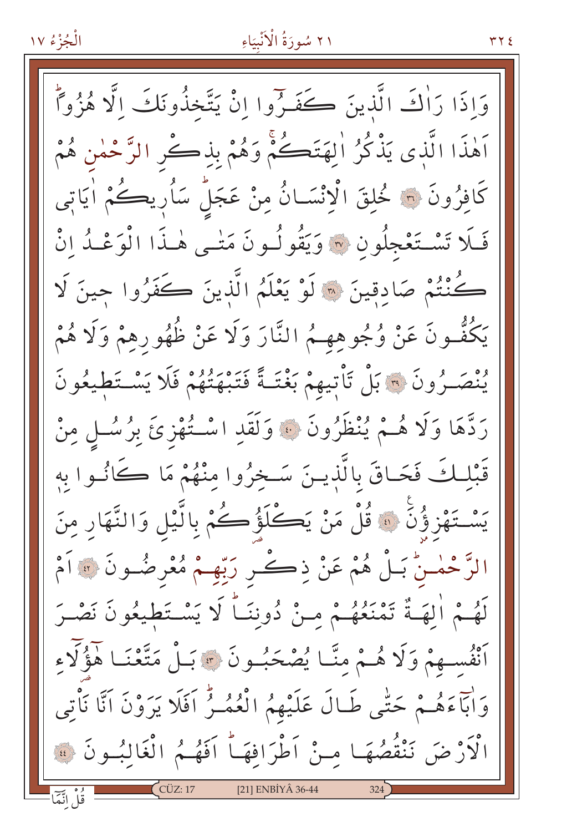#### ٢١ سُورَةُ الْأَنْبِيَاءِ

وَإِذَا رَأْكَ الَّذِينَ كَفَـرِّوا إِنْ يَتَّخذُونَكَ الَّا هُزُواً اَهٰذَا الَّذي يَذْكُرُ اٰلهَتَكُمْ وَهُمْ بِذِكْرِ الرَّحْمٰنِ هُمْ كَافِرُونَ ۞ خُلِقَ الْإِنْسَـانُ مِنْ عَجَلٌ سَأُرِيكُمْ أَيَاتِي فَلَا تَسْتَعْجِلُونِ ۞ وَيَقُولُونَ مَتْـي هٰـذَا الْوَعْـدُ إِنْ كُنْتُمْ صَادِقِينَ ۞ لَوْ يَعْلَمُ الَّذِينَ كَفَرُوا حينَ لَا يَكُفُّـونَ عَنْ وُجُوهِهِـمُ النَّارَ وَلَا عَنْ ظُهُورِهِمْ وَلَا هُمْ يُنْصَـرُونَ ۞ بَلْ تَأْتِيهِمْ بَغْتَـةً فَتَبْهَتُهُمْ فَلَا يَسْـتَطْيعُونَ رَدَّهَا وَلَا هُـمْ يُنْظَرُونَ ۞ وَلَقَدِ اسْـتُهْزِئَ بِرُسُـلٍ مِنْ قَبْلُكَ فَحَاقَ بِالَّذِينَ سَخِرُوا مِنْهُمْ مَا كَانُوا بِهِ يَسْتَهْزِؤُنِّ ۚ وَقُلْ مَنْ يَكْلَؤُكُمْ بِالَّيْلِ وَالنَّهَارِ مِنَ الرَّحْمٰـنُّ بَـلُّ هُمْ عَنْ ذِكْـرٍ رَبِّهِـمْ مُعْرِضُـونَ ۞ اَمْ لَهُمْ الِهَـةُ تَمْنَعُهُـمْ مِـنْ دُونِنَـاً لَا يَسْـتَطيعُونَ نَصْـرَ أَنْفُسِهِمْ وَلَا هُـمْ مِنَّـا يُصْحَبُـونَ \* بَـلْ مَتَّعْنَـا هَؤُلَّاء وَاٰبَآءَهُمْ حَتَّى طَـالَ عَلَيْهِمُ الْعُمُمِرُّ اَفَلَا يَرَوْنَ اَنَّا نَأْتِي الْأَرْضَ نَنْقُصُهَا مِنْ أَطْرَافِهَا أَفَهُمُ الْغَالِبُونَ فِ قُلْ انَّمَّا [21] ENBİYÂ 36-44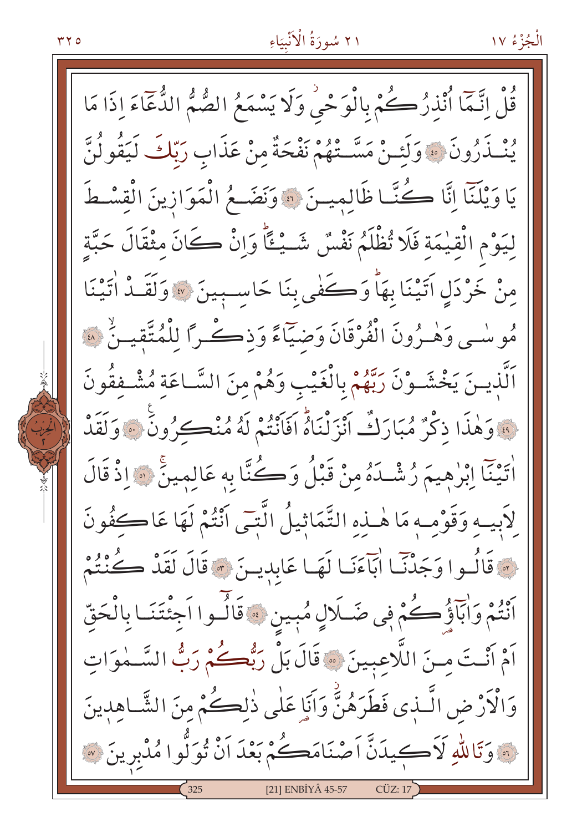الْجُزْءُ ١٧

قُلْ اتَّمَا أُنْذِرُكُمْ بِالْوَحْيِ وَلَا يَسْمَعُ الصُّمُّ الدُّعَاءَ إِذَا مَا يُنْـذَرُونَ ۞ وَلَئَـنْ مَسَّـتْهُمْ نَفْحَةٌ منْ عَذَابِ رَبّكَ لَيَقُولُنَّ يَا وَيْلَنَّا إِنَّا كُنَّا ظَالِمِينَ ۞ وَنَضَعُ الْمَوَازِينَ الْقِسْطَ ليَوْمِ الْقِيْمَةِ فَلَا تُظْلَمُ نَفْسٌ شَــْـِــًّا وَإِنْ كَانَ مِثْقَالَ حَبَّةٍ مِنْ خَرْدَلِ آتَيْنَا بِهَا وَكَفْيِ بِنَا حَاسِبِينَ ﴾ وَلَقَـٰذُ اٰتَيْنَا مُوسْمِي وَهْـرُونَ الْفُرْقَانَ وَضَيّاءً وَذِكْـراً لِلْمُتَّقِيـنُ ۞ اَلَّذِينَ يَخْشَوْنَ رَبِّهُمْ بِالْغَيْبِ وَهُمْ مِنَ السَّاعَةِ مُشْفِقُونَ . » وَهٰذَا ذِكْرٌ مُبَارَكٌ أَنْزَلْنَاهُ أَفَانَتُمْ لَهُ مُنْڪرُونَ … وَلَقَدْ اْيِنَآ اِبْرٰهِيمَ رُشْـدَهُ مِنْ قَبْلُ وَكُنَّا بِهِ عَالِمِينَ ۞ إِذْ قَالَ لِأَبِيهِ وَقَوْمِهِ مَا هٰذِهِ التَّمَاثِيلُ الَّتِّي أَنْتُمْ لَهَا عَاكْفُونَ وَ قَالُوا وَجَدْنَا ابَآءَنَا لَهَا عَابِدِينَ \* قَالَ لَقَدْ كُنْتُمْ أَنْتُمْ وَأَبَآؤُ كُمْ فِي ضَـلَالٍ مُبِينٍ ﴾ قَالُـوا اَجْنَتَنَـا بِالْحَقّ اَمْ أَنْتَ مِنَ اللَّاعِبِينَ ﴾ قَالَ بَلْ رَبُّكُمْ رَبُّ السَّـٰمٰوَاتِ وَالْأَرْضِ الَّـٰذِي فَطَرَهُنَّ وَآَبَا عَلَٰى ذٰلڪُمْ منَ الشَّـاهدِينَ نَّهِ وَتَاللّهِ لَاَكِيدَنَّ اَصْنَامَكُمْ بَعْدَ اَنْ تُوَلُّوا مُدْبِرِينَ ۞ [21] ENBİYÂ 45-57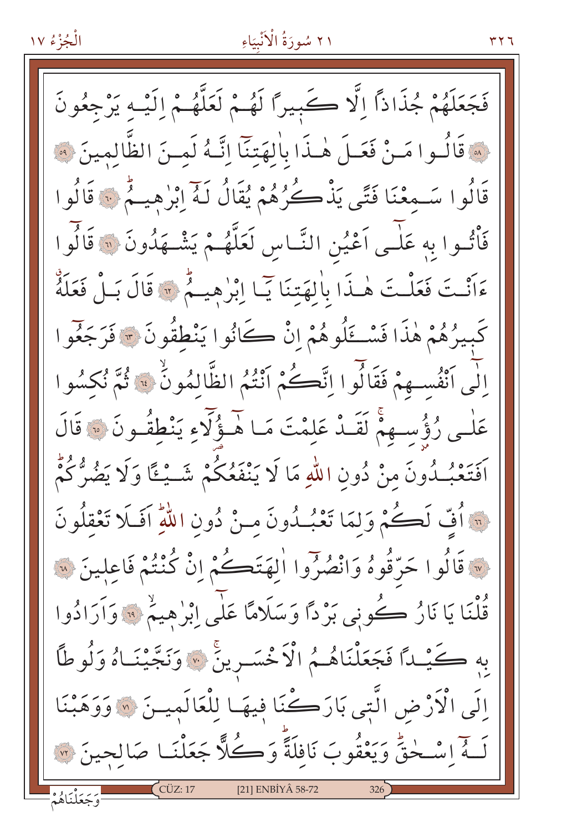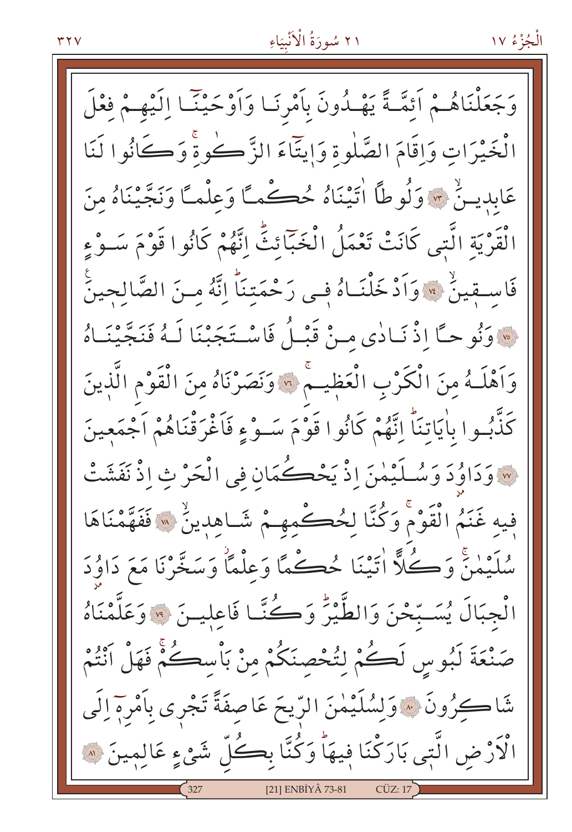الْجُزْءُ ١٧

وَجَعَلْنَاهُـمْ اَئِمَّـةً يَهْـدُونَ بِاَمْرِنَـا وَاَوْحَيْنَـا اِلَيْهِـمْ فِعْلَ الْخَيْرَاتِ وَإِقَامَ الصَّلْوةِ وَإِيتَآءَ الزَّكْوةُ وَكَانُوا لَنَا عَابِدِينٌ \* وَلُوطًا اٰتِيْنَاهُ حُڪْمَـّا وَعِلْمَـّا وَنَجَّيْنَاهُ مِنَ الْقَرْيَةِ الَّتِي كَانَتْ تَعْمَلُ الْخَبَّائِثِّ إِنَّهُمْ كَانُوا قَوْمَ سَـوْءِ فَاسِـقِينٌ \* وَاَدْخَلْنَـاهُ فِـى رَحْمَتِنَا إِنَّهُ مِـنَ الصَّالِحِينَ ِ وَنُوحاً إِذْ نَـادٰي مـنْ قَبْـلُ فَاسْـتَجَبْنَا لَـهُ فَنَجَّيْنَـاهُ وَاَهْلَـهُ مِنَ الْكَرْبِ الْعَظِيـمُ ۞ وَنَصَرْنَاهُ مِنَ الْقَوْمِ الَّذِينَ كَذّْبُوا بِأَيَاتِنَاً اِتَّهُمْ كَانُوا قَوْمَ سَـوْءٍ فَاَغْرَقْنَاهُمْ اَجْمَعِينَ مِ وَدَاوُدَ وَسُلَيْمٰنَ إِذْ يَحْكُمَانِ فِي الْحَرْ ثِ إِذْ نَفَشَتْ فيه غَنَمُ الْقَوْمَ وَكُنَّا لِحُكْمِهِمْ شَاهِدِينٌ ۞ فَفَهَّمْنَاهَا سُلَيْمَنَّ وَكُلًّا اٰتَيْنَا حُكْمًا وَعِلْمًا وَسَخَّرْنَا مَعَ دَاوُدَ الْجِبَالَ يُسَبِّحْنَ وَالطُّيْرَ وَكُنَّا فَاعِلِينَ ۞ وَعَلَّمْنَاهُ صَنْعَةَ لَبُوسِ لَكُمْ لِتُحْصِنَكُمْ مِنْ بَأْسِكُمْ فَهَلْ أَنْتُمْ شَاكِرُونَ ۞وَلِسُٰلَيْمٰنَ الرّيحَ عَاصِفَةً تَجْرِى بِأَمْرِهِ إِلَى الْأَرْضِ الَّتِي بَارَكْنَا فِيهَاْ وَكُنَّا بِكُلِّ شَيْءٍ عَالِمِينَ ۞ [21] ENBİYÂ 73-81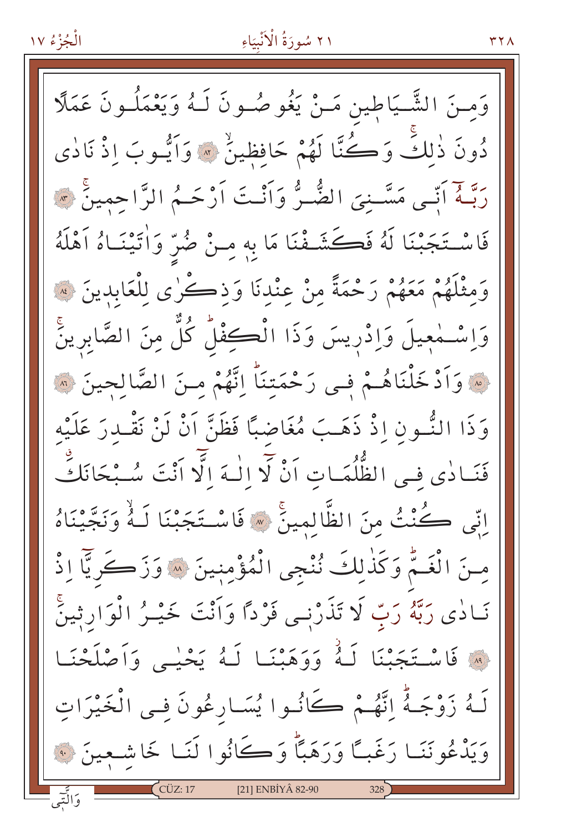## ٢١ سُورَةُ الْآنْبِيَاءِ

 $YY$ 

وَمِـنَ الشَّـيَاطينِ مَـنْ يَغُو صُـونَ لَـهُ وَيَعْمَلُـونَ عَمَلًا دُونَ ذٰلكَ وَكُنَّا لَهُمْ حَافِظِينٌ ۞ وَاَيُّـوبَ إِذْ نَادٰى رَبَّـهُ اَنِّـى مَسَّـنِيَ الضُّـرُّ وَاَنْـتَ اَرْحَـمُ الرَّاحمِينَ ۞ فَاسْتَجَبْنَا لَهُ فَكَشَفْنَا مَا بِهِ مِنْ ضُرٍّ وَأْتَيْنَـاهُ أَهْلَهُ وَمِثْلَهُمْ مَعَهُمْ رَحْمَةً مِنْ عِنْدِنَا وَذِكْرٰى لِلْعَابِدِينَ لِهَ وَاسْتُمْعِيلَ وَاِدْرِيسَ وَذَا الْكِفْلُ كُلَّ مِنَ الصَّابِرِينَّ نِ وَأَدْ خَلْنَاهُـمْ فِـى رَحْمَتِنَا إِنَّهُمْ مِـنَ الصَّالِحِينَ ۞ وَذَا النُّسُونِ إِذْ ذَهَبَ مُغَاضِبًا فَظَنَّ أَنْ لَنْ نَقْبِدرَ عَلَيْه فَنَـادٰى فِـى الظُّلُمَـاتِ اَنْ لَا الْـهَ الَّا اَنْتَ سُـبْحَانَكً اِنِّي كُنْتُ مِنَ الظَّالِمِينَ ۞ فَاسْتَجَبْنَا لَـهُ وَنَجَّيْنَاهُ مِنَ الْغَمُّ وَكَذٰلِكَ نُنْجِي الْمُؤْمِنِينَ ۞ وَزَكَرِيَّا إِذْ نَـادٰی رَبَّهُ رَبَّ لَا تَذَرْنِـی فَرْدًا وَأَنْتَ خَیْـرُ الْوَارِثِینَّ ﴾ فَاسْتَجَبْنَا لَهُ وَوَهَبْنَا لَهُ يَحْيِي وَأَصْلَحْنَا لَـهُ زَوْجَـهُ اِنَّهُـمْ كَانُـوا يُسَـارعُونَ فِـي الْخَيْرَاتِ وَيَدْعُونَنَـا رَغَبـًا وَرَهَبًا وَكَانُوا لَنَـا خَاشـعِينَ ۞ [21] ENBİYÂ 82-90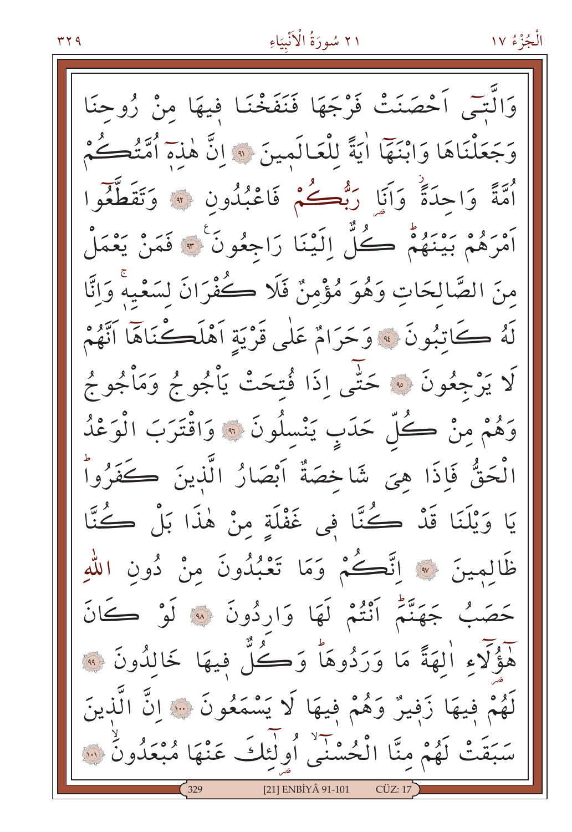وَالَّتَّى اَحْصَنَتْ فَرْجَهَا فَنَفَخْنَا فِيهَا مِنْ زُوحِنَا وَجَعَلْنَاهَا وَابْنَهَا اٰيَةً لِلْعَالَمِينَ ۞ انَّ هٰذَهَ أُمَّتُكُمْ أُمَّةً وَاحِدَةً وَأَنَا رَبُّعُكُمْ فَاعْبُدُونِ \* وَتَقَطَّعُوا أَمْرَهُمْ بَيْنَهُمْ كُلّْ إِلَيْنَا رَاجِعُونَ ۚ ﴾ فَمَنْ يَعْمَلْ مِنَ الصَّالِحَاتِ وَهُوَ مُؤْمِنٌ فَلَا كُفْرَانَ لسَعْيهُ وَانَّا لَهُ كَاتِبُونَ ﴾ وَحَرَامٌ عَلَى قَرْيَةِ أَهْلَكْنَاهَا أَنَّهُمْ كَا يَرْجِعُونَ ۞ حَتَّى إِذَا فُتحَتْ يَأْجُوجُ وَمَأْجُوجُ وَهُمْ مِنْ كُلّْ حَدَبٍ يَنْسِلُونَ ۞ وَاقْتَرَبَ الْوَعْدُ الْحَقُّ فَإِذَا هِيَ شَاخِصَةٌ أَبْصَارُ الَّذِينَ كَفَرُواْ يَا وَيْلَنَا قَدْ كُتَّا فِي غَفْلَةٍ مِنْ هٰذَا بَلْ كُتَّا ظَالمِينَ ۞ اِتَّ**ڪُ**مْ وَمَا تَعْبُدُونَ منْ دُونِ اللهِ حَصَبُ جَهَنَّتُم أَنْتُمْ لَهَا وَارِدُونَ ۞ لَوْ كَانَ هَؤُلَاءِ اٰلِهَةً مَا وَرَدُوهَا وَكُلِّ فِيهَا خَالِدُونَ ۞ لَهُمْ فِيهَا زَفِيرٌ وَهُمْ فِيهَا لَا يَسْمَعُونَ ﴾ إِنَّ الَّذِينَ سَبَقَتْ لَهُمْ مِنَّا الْحُسْنَى أُولَٰئِكَ عَنْهَا مُبْعَدُونَ ۚ ﴾ [21] ENBİYÂ 91-101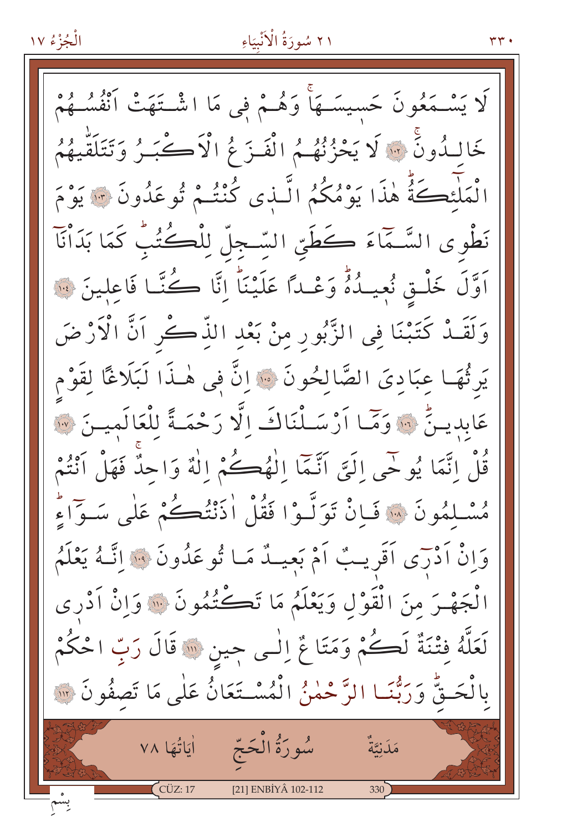۳۳.

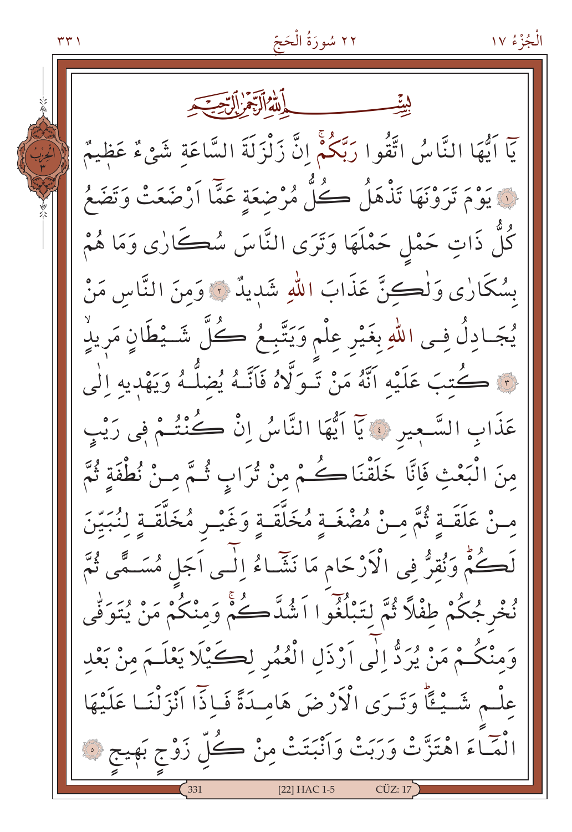٢٢ سُورَةُ الْحَجّ الْجُزْءُ ١٧ ۳۳۱ يَاۤ اَيُّهَا النَّاسُ اتَّقُوا رَبَّكُمْۚ إِنَّ زَلْزَلَةَ السَّاعَةِ شَيْءٌ عَظِيمٌ نَ يَوْمَ تَرَوْنَهَا تَذْهَلُ كُلُّ مُرْضَعَةٍ عَمَّا اَرْضَعَتْ وَتَضَعُ كُلُّ ذَاتٍ حَمْلٍ حَمْلَهَا وَتَرَى النَّاسَ سُڪَارٰى وَمَا هُمْ بِسُكَارٰى وَلْكِنَّ عَذَابَ اللهِ شَدِيدٌ ۚ وَمِنَ النَّاسِ مَنْ يُجَادِلُ فِي اللّهِ بِغَيْرِ عِلْمٍ وَيَتَّبِعُ كُلّ شَـيْطَانٍ مَرِيدٍ نَ كُتبَ عَلَيْهِ اتَّهُ مَنْ تَبِوَلَّاهُ فَاَنَّـهُ يُضلَّـهُ وَيَهْدِيهِ إِلَٰى عَذَابِ السَّعِيرِ ۞ يَاۤ اَيُّهَا النَّاسُ إِنْ كُنْتُمْ فِي رَيْبِ مِنَ الْبَعْثِ فَإِنَّا خَلَقْنَاكُمْ مِنْ تُرَابٍ ثُمَّ مِنْ نُطْفَةٍ ثُمَّ مِنْ عَلَقَـةٍ ثُمَّ مِنْ مُضْغَـةٍ مُخَلَّقَـةٍ وَغَيْـرٍ مُخَلَّقَـةٍ لِنُبَيِّنَ لَكُمُّ وَنُقرُّ في الْأَرْحَامِ مَا نَشَّاءُ إِلَى اَجَلٍ مُسَـمًّى ثُمَّ نُخْرِجُكُمْ طِفْلًا ثُمَّ لِتَبْلُغُوا اَشُدَّكُمْ وَمنْكُمْ مَنْ يُتَوَفَّى وَمِنْكُمْ مَنْ يُرَدُّ إِلٰى اَرْذَلِ الْعُمُرِ لِكَيْلَا يَعْلَـمَ مِنْ بَعْدِ عِلْمٍ شَيْئًا وَتَرَى الْأَرْضَ هَامِدَةً فَإِذّا اَنْزَلْنَا عَلَيْهَا انْضَاءَ اهْتَزَّتْ وَرَبَتْ وَأَنْبَتَتْ مِنْ كُلِّ زَوْجٍ بَهِيجٍ ۞ [22] HAC 1-5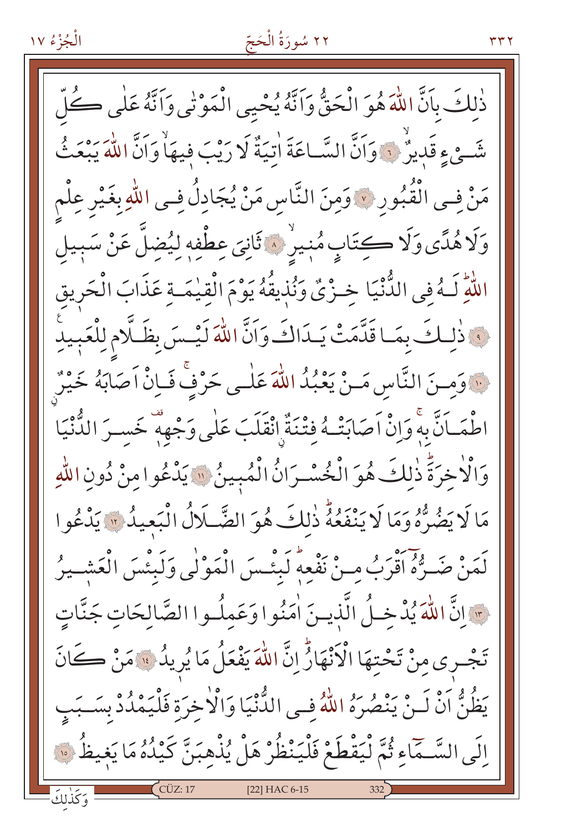#### ٢٢ سُورَةُ الْحَجّ

ذٰلكَ بِأَنَّ اللَّهَ هُوَ الْحَقُّ وَأَنَّهُ يُحْيِي الْمَوْتَى وَأَنَّهُ عَلَى كُلّ شَّعْ ءِ قَدِيرٌ ۚ ۚ وَاَنَّ السَّـاعَةَ اٰتِيَةٌ لَا رَيْبَ فِيهَاٰ وَاَنَّ اللّٰهَ يَبْعَثُ مَنْ فِي الْقُبُورِ ۞ وَمِنَ النَّاسِ مَنْ يُجَادِلُ فِي اللَّهِ بِغَيْرِ عِلْم وَلَاهُلَّى وَلَا كِتَابٍ مُنِيرٌ ، ثَانِيَ عِطْفِهِ لِيُضِلَّ عَنْ سَبِيلَ اللَّهِ لَـهُ فِي الدُّّنْيَا خِـزْيٌ وَنُذِيقُهُ يَوْمَ الْقِيْمَـةِ عَذَابَ الْحَرِيقِ وَاذْلِكَ بِمَا قَلَّمَتْ يَـدَاكَ وَاَنَّ اللّهَ لَيْـسَ بِظَلَّامِ لِلْعَبِيدِ لَنَّهُ وَمِنَ النَّاسِ مَـنْ يَعْبُدُ اللَّهَ عَلٰـى حَرْفٍّ فَـاِنْ أَصَابَهُ خَيْرٌ اطْمَـاَنَّ بِهِ وَإِنْْ اَصَابَتْـهُ فِتْنَةٌ انْقَلَبَ عَلٰى وَجْهِهٖ خَسـرَ الدُّنْيَا وَالْاٰخِرَةَ ذٰلكَ هُوَ الْخُسْـرَانُ الْمُبِينُ ۞ يَدْعُوا مِنْ دُونِ اللّهِ مَا لَا يَضُرُّهُ وَمَا لَا يَنْفَعُهُ ذٰلكَ هُوَ الضَّلَالُ الْبَعِيدُ ۚ يَدْعُوا لَمَنْ ضَـرُّهُ اَقْرَبُ مِـنْ نَفْعِهِ لَبِئْـسَ الْمَوْلٰي وَلَبِئْسَ الْعَشْـيرُ حوانَّ اللهَ يُدْخِلُ الَّذِينَ اٰمَنُوا وَعَمِلُوا الصَّالِحَاتِ جَنَّاتٍ تَجْرِي مِنْ تَحْتِهَا الْأَنْهَارُّ إِنَّ اللَّهَ يَفْعَلُ مَا يُرِيدُ ۚ مَنْ كَانَ يَظُنُّ اَنْ لَـنْ يَنْصُرَهُ اللّهُ فِـى الدُّّنْيَا وَالْاخِرَة فَلْيَمْدُدْ بِسَـبَبِ إِلَى السَّـمَّاءِ ثُمَّ لْيَقْطَعْ فَلْيَنْظُرْ هَلْ يُذْهِبَنَّ كَيْدُهُ مَا يَغِيظُ ۞ وَكَذٰلكَ [22] HAC 6-15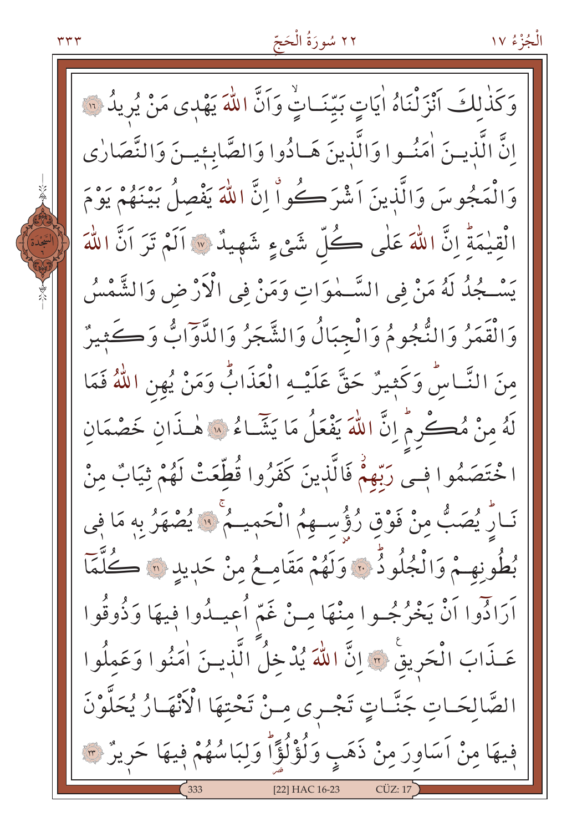۳۳۳



وَكَذٰلكَ أَنْزَلْنَاهُ اٰيَاتٍ بَيّنَـاتٍّ وَاَنَّ اللّٰهَ يَهْدِى مَنْ يُرِيدُ لِلَّهَ انَّ الَّذينَ اٰمَنُوا وَالَّذِينَ هَـادُوا وَالصَّابِئِينَ وَالنَّصَارٰى وَالْمَجُوسَ وَالَّذِينَ اَشْرَكُواْ إِنَّ اللَّهَ يَفْصِلُ بَيْنَهُمْ يَوْمَ الْقِيْمَةِ إِنَّ اللَّهَ عَلَى كُلِّ شَيْءٍ شَهِيدٌ ۞ آلَمْ تَرَ آنَّ اللَّهَ يَسْـجُدُ لَهُ مَنْ فِي السَّـمٰوَاتِ وَمَنْ فِي الْأَرْضِ وَالشَّمْسُ وَالْقَمَرُ وَالنُّجُومُ وَالْجِبَالُ وَالشَّجَرُ وَالدَّوٓابُّ وَكَثِيرٌ مِنَ النَّاسُّ وَكَثِيرٌ حَقَّ عَلَيْـهِ الْعَذَابُّ وَمَنْ يُهنِ اللَّهُ فَمَا لَهُ مِنْ مُكْرِمٌ إِنَّ اللَّهَ يَفْعَلُ مَا يَشَّاءُ لِلَّهِ هٰذَانِ خَصْمَان ا خْتَصَمُوا فِـى رَبِّهِمْ فَالَّذِينَ كَفَرُوا قُطِّعَتْ لَهُمْ ثِيَابٌ منْ نَارِ يُصَبُّ مِنْ فَوْقِ رُؤُسِـهِمُ الْحَمِيـمُ ۚ لَا يُصْهَرُ بِهِ مَا فِي بُطُونِهِمْ وَالْجُلُودُ ۚ وَلَهُمْ مَقَامِعُ مِنْ حَدِيدِ ۞ كُلَّمَا آرَادُّوا آنْ يَخْرُجُـوا مِنْهَا مِـنْ غَمّ أُعِيـدُوا فِيهَا وَذُوقُوا عَـذَابَ الْحَرِيقْ ۞ إِنَّ اللَّهَ يُدْخِلُ الَّذِيــنَ اٰمَنُوا وَعَمِلُوا الصَّالِحَـاتِ جَنَّـاتٍ تَجْـرى مِـنْ تَحْتِهَا الْأَنْهَـارُ يُحَلَّوْنَ فِيهَا مِنْ اَسَاوِرَ مِنْ ذَهَبِ وَلُؤْلُؤًا وَلِبَاسُهُمْ فِيهَا حَرِيرٌ ۞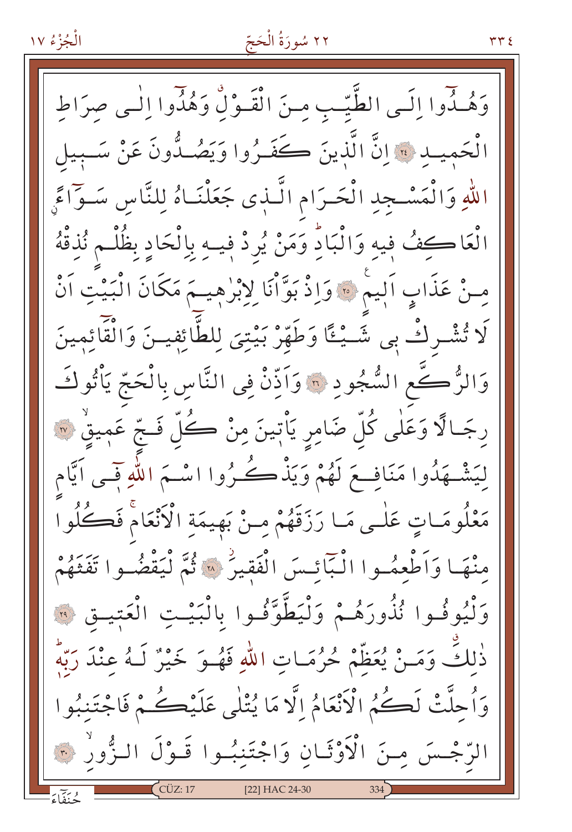الْجُزْءُ ١٧

### ٢٢ سُورَةُ الْحَجّ

وَهُـذُوا إِلَـى الطَّيّـبِ مِنَ الْقَـوْلِّ وَهُذُوا إِلَٰـى صرَاطِ الْحَمِيــد ﴾ إنَّ الَّذِينَ كَفَـرُوا وَيَصُـدُّونَ عَنْ سَـبِيل اللهِ وَالْمَسْجِدِ الْحَرَامِ الَّـذِى جَعَلْنَـاهُ لِلنَّاسِ سَـوَٓاءً الْعَاكِفُ فِيهِ وَالْبَادِّ وَمَنْ يُرِدْ فِيهِ بِالْحَادِ بِظُلْـم نُذِقْهُ مِنْ عَذَابٍ اَلِيمْ ﴾ وَإِذْ بَوَّأْنَا لِإِبْرٰهِيـمَ مَكَانَ الْبَيْتِ اَنْ لَا تُشْرِكْ بِي شَـيْـُا وَطَهِّرْ بَيْتِيَ لِلطَّائِفِيـنَ وَالْقَائِمينَ وَالزُّكَّعِ السُّجُودِ ۞ وَاَذِّنْ فِي النَّاسِ بِالْحَجِّ يَأْتُوكَـ رجَـالًا وَعَلٰى كُلّ ضَامِرٍ يَأْتِينَ مِنْ ڪُلّ فَـجّ عَمِيقٍ ۞ لِيَشْــهَذُوا مَنَافِــعَ لَهُمْ وَيَذْكُــكُرُوا اسْــمَ اللّٰهِ فَــى اَيَّام مَعْلُومَـاتٍ عَلٰـى مَـا رَزَقَهُمْ مِـنْ بَهِيمَةِ الْأَنْعَامْ فَكُلُوا مْنْهَا وَأَطْعِمُوا الْبَأْئِسَ الْفَقِيرُ ۞ ثُمَّ لْيَقْضُوا تَفَتَّهُمْ وَلَّيُوفُوا نُذُورَهُمْ وَلْيَطَّوَّفُوا بِالْبَيْتِ الْعَتِيقِ ۞ ذٰلكَ وَمَـنْ يُعَظَّمْ حُرُمَـاتِ اللَّهِ فَهُـوَ خَيْرٌ لَـهُ عِنْدَ رَبَّهِ وَأُحلَّتْ لَڪُمُ الْأَنْعَامُ إِلَّا مَا يُتْلَى عَلَيْڪُمْ فَاجْتَنبُو ا الرَّجْسَ مِنَ الْأَوْثَانِ وَاجْتَنِبُوا قَـوْلَ الـزُّورُ ۞ [22] HAC 24-30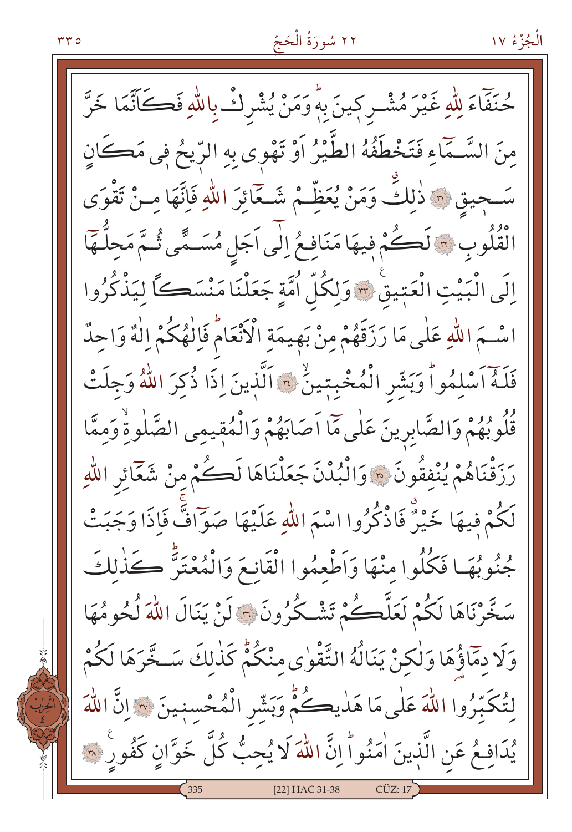حُنَفَّاءَ لِلّٰهِ غَيْرَ مُشْـرٍ كِينَ بِهِ وَمَنْ يُشْرِكْ بِاللّٰهِ فَكَاتَّمَا خَرَّ مِنَ السَّـمَاءِ فَتَخْطَفُهُ الطَّيْرُ اَوْ تَهْوى بِهِ الرِّيحُ فِي مَكَانٍ سَـجيق ۞ ذٰلِكِّ وَمَنْ يُعَظِّـمْ شَـعَائِرَ اللهِ فَإِنَّهَا مِـنْ تَقْوَى الْقُلُوبِ ٣ لَكُمْ فِيهَا مَنَافِعُ إِلَى اَجَلِ مُسَـمًّى ثُـمَّ مَحِلَّهَا إِلَى الْبَيْتِ الْعَبْيقِ ٣ وَلِكُلِّ أُمَّةٍ جَعَلْنَا مَنْسَكًا لِيَذْكُرُوا اسْــَمَ اللّهِ عَلٰى مَا رَزَقَهُمْ مِنْ بَهِيمَةِ الْأَنْعَامُ فَاِلْهُكُمْ اِلْهٌ وَاحِدٌ فَلَهُ أَسْلِمُواْ وَبَشِّرِ الْمُخْبِتِينُ \* اَلَّذِينَ إِذَا ذُكِرَ اللَّهُ وَجِلَتْ قُلُوبُهُمْ وَالصَّابِرِينَ عَلٰى مَّا اَصَابَهُمْ وَالْمُقِيمِى الصَّلٰوةِ وَممَّا رَزَقْنَاهُمْ يُنْفِقُونَ ۞ وَالْبُدْنَ جَعَلْنَاهَا لَكُمْ مِنْ شَعَائِرِ اللّهِ لَكُمْ فِيهَا خَيْرٌ فَاذْكُرُوا اسْمَ اللّهِ عَلَيْهَا صَوّافٌ فَإِذَا وَجَبَتْ جُنُوبُهَا فَكُلُوا مِنْهَا وَاَطْعِمُوا الْقَانِعَ وَالْمُعْتَرَّ كَذٰلكَ سَخَّرْنَاهَا لَكُمْ لَعَلَّكُمْ تَشْكُرُونَ ۞ لَنْ يَنَالَ اللَّهَ لُحُومُهَا وَلَا دِمَاؤُهَا وَلٰكِنْ يَنَالُهُ التَّقْوٰى مِنْكُمٌّ كَذٰلِكَ سَخَّرَهَا لَكُمْ لِتُكَبِّرُوا اللَّهَ عَلَى مَا هَذِيكُمُّ وَبَشِّرِ الْمُحْسِنِينَ ۞ إِنَّ اللَّهَ يُدَافِعُ عَنِ الَّذِينَ اٰمَنُواَ إِنَّ اللَّهَ لَا يُحِبُّ كُلَّ خَوَّانٍ كَفُورٍ ۞ [22] HAC 31-38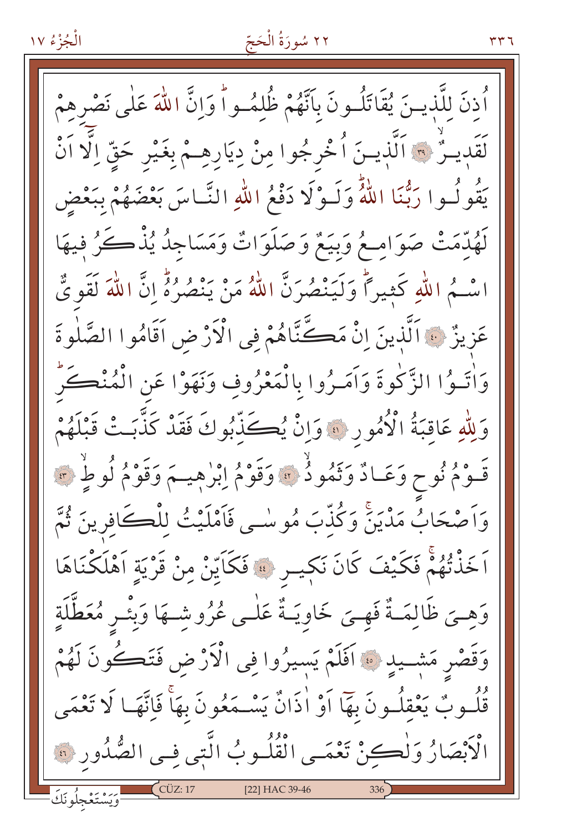الْجُزْءُ ١٧

#### ٢٢ سُورَةُ الْحَجّ

أَذنَ للَّذينَ يُقَاتَلُونَ بِأَنَّهُمْ ظُلمُواً وَإِنَّ اللَّهَ عَلٰى نَصْرِهِمْ لَقَدِيـرٌ ۞ اَلَّذِيـنَ اُخْرِجُوا مِنْ دِيَارِهِـمْ بِغَيْرِ حَقِّ اِلَّا اَنْ يَقُو لُـوا رَبُّنَا اللَّهُ وَلَـوْلَا دَفْعُ اللّٰهِ النَّـاسَ بَعْضَهُمْ بِبَعْضٍ لَهُدِّمَتْ صَوَامِعُ وَبِيَعٌ وَصَلَوَاتٌ وَمَسَاجِدٌ يُذْكُرُ فِيهَا اسْـمُ اللّهِ كَثِيراً وَلَيَنْصُرَنَّ اللّهُ مَنْ يَنْصُرُهُ إِنَّ اللّهَ لَقَوىٌّ عَزِيزٌ ﴾ اَلَّذينَ إِنْ مَكَّنَّاهُمْ فِي الْأَرْضِ اَقَامُوا الصَّلٰوةَ وَاٰتَـوُا الزَّكْوةَ وَاَمَـرُوا بِالْمَعْرُوفِ وَنَهَوْا عَنِ الْمُنْكَرِّ وَلِلَّهِ عَاقِبَةُ الْأُمُورِ ۚ وَإِنْ يُكَذِّبُوكَ فَقَدْ كَذَّبَتْ قَبْلَهُمْ قَوْمُ نُوحٍ وَعَـادٌ وَتَمُودُ ۞ وَقَوْمُ اِبْرٰهِيـمَ وَقَوْمُ لُوطٍ ۞ وَاَصْحَابُ مَدْيَنَ وَكُذِّبَ مُوسْى فَاَمْلَيْتُ لِلْڪَافِرِينَ ثُمَّ اَخَذْتُهُمْ فَكَيْفَ كَانَ نَكِيسٍ ﴾ فَكَايِّنْ مِنْ قَرْيَةٍ اَهْلَكْنَاهَا وَهِـيَ ظَالِمَـةٌ فَهِـيَ خَاوِيَـةٌ عَلٰـي عُرُوشـهَا وَبِئْـرٍ مُعَطَّلَةِ وَقَصْرِ مَشْــيدِ ۞ اَفَلَمْ يَسِيرُوا فِي الْأَرْضِ فَتَڪُونَ لَهُمْ قُلُسُوبٌ يَعْقِلُسُونَ بِهَا أَوْ أَذَانٌ يَسْــمَعُونَ بِهَا فَإِنَّهَــا لَا تَعْمَى الْأَبْصَارُ وَلْكِنْ تَعْمَى الْقُلُوبُ الَّتِي فِي الصُّدُورِ ۞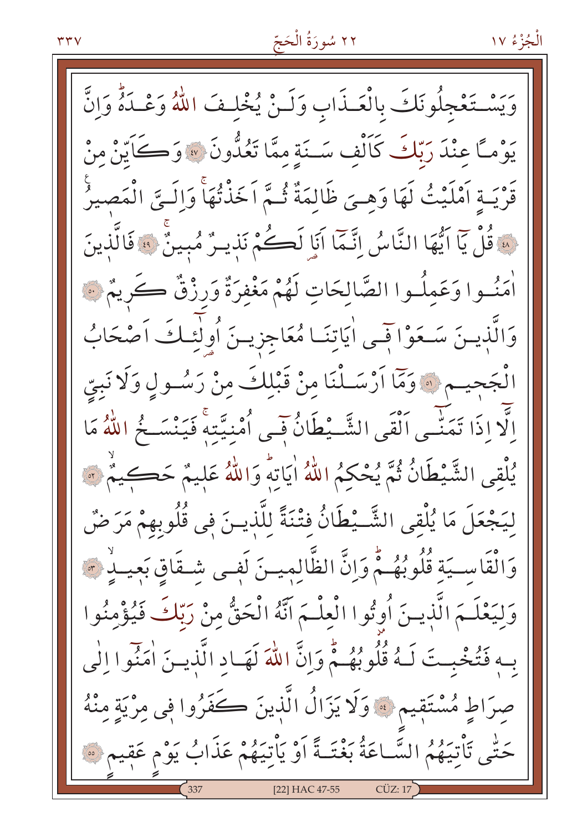وَيَسْتَغْجِلُونَكَ بِالْعَـذَابِ وَلَـنْ يُخْلِفَ اللّهُ وَعْـدَةٌ وَإِنَّ يُوْمًا عِنْدَ رَبَّكَ كَالْف سَـنَةِ ممَّا تَعُدُّونَ » وَكَايَنْ مِنْ قَرْيَـةِ اَمْلَيْتُ لَهَا وَهِـيَ ظَالِمَةٌ ثُـمّ اَخَذْتُهَا وَاِلَـيِّ الْمَصيرُ هَ قُلْ يَآ ايُّهَا النَّاسُ اِنَّـمَاۤ اَنَا۪ لَكُمْ نَذِيـرٌ مُبِينٌ ۞ فَالَّذِينَ أَمَنُــوا وَعَملُــوا الصَّالِحَاتِ لَهُمْ مَغْفِرَةٌ وَرِزْقٌ كَرِيمٌ ۞ وَالَّذِينَ سَعَوْاتِمِي اٰيَاتِنَا مُعَاجِزِينَ أُولٰئِكَ اَصْحَابُ الْجَحِيـم ۞ وَمَّا أَرْسَـلْنَا مِنْ قَبْلِكَ مِنْ رَسُـولٍ وَلَا نَبِيِّ الَّا اذَا تَمَنِّـى اَلْقَى الشَّـيْطَانُ فَـى أُمْنِيَّتِه فَيَنْسَـخُ اللَّهُ مَا يُلْقى الشَّيْطَانُ ثُمَّ يُحْكُمُ اللَّهُ اٰيَاتِهِ وَاللَّهُ عَلِيمٌ حَكِيمٌ ۞ ليَجْعَلَ مَا يُلْقى الشَّـيْطَانُ فِتْنَةً لِلَّذِينَ فِي قُلُوبِهِمْ مَرَضٌ وَالْقَاسِيَةِ قُلُوبُهُـمْ وَإِنَّ الظَّالِمِيـنَ لَفِـى شَـقَاقِ بَعِيـلِهِ \*\* وَلِيَعْلَـمَ الَّذِيـنَ أُوتُوا الْعِلْـمَ اَنَّهُ الْحَقُّ مِنْ رَبِّكَ فَيُؤْمِنُوا بِهِ فَتُخْبِتَ لَـهُ قُلُوبُهُـمُّ وَإِنَّ اللَّهَ لَهَـادِ الَّذِيـنَ اٰمَنُوا الٰي صِرَاطٍ مُسْتَقِيمٍ ۞ وَلَا يَزَالُ الَّذِينَ كَفَرُوا فِي مِرْيَةٍ مِنْهُ حَتّٰى تَأْتِيَهُمُ السَّـاعَةُ بَغْتَـةً أَوْ يَأْتِيَهُمْ عَذَابُ يَوْم عَقِيمٍ ۞ [22] HAC 47-55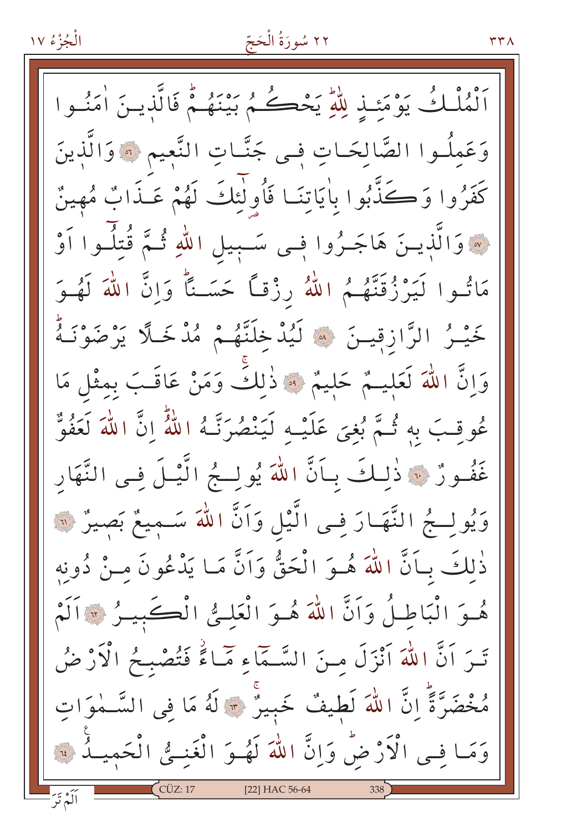#### ٢٢ سُورَةُ الْحَجّ

ٱلْمُلْكُ يَوْمَئِذِ لِلَّهِ يَخْكُمُ بَيْنَهُمْ فَالَّذِينَ اٰمَنُوا وَعَمِلُـوا الصَّالِحَـاتِ فِـى جَنَّـاتِ النَّعِيمِ ۞ وَالَّذِينَ كَفَرُوا وَكَذَّبُوا بِاٰيَاتِنَـا فَأُولَٰئِكَ لَهُمْ عَـٰذَابٌ مُهينٌ لَهُ وَالَّذِينَ هَاجَـرُوا فِـى سَـبِيلِ اللهِ ثُـمَّ قُتِلُـوا أَوْ مَاتُوا لَيَرْزُقَنَّهُمُ اللّهُ رِزْقاً حَسَـنًّا وَإِنَّ اللّهَ لَهُـوَ خَيْـرُ الرَّازِقِيـنَ ۞ لَيُدْخِلَنَّهُـمْ مُدْخَلَّاً يَرْضَوْنَـهُ وَإِنَّ اللَّهَ لَعَلِيـمٌ حَلِيمٌ \* ذٰلِكٌ وَمَنْ عَاقَـبَ بِمثْلِ مَا عُوقِبَ بِهِ ثُمَّ بُغِيَ عَلَيْـه لَيَنْصُرَنَّـهُ اللَّهُ إِنَّ اللَّهَ لَعَفُوٌّ غَفُورٌ ۞ ذٰلكَ بِـأَنَّ اللَّهَ يُولِـجُ الَّيْـلَ فـي النَّهَارِ وَيُولِجُ النَّهَارَ فِي الَّيْلِ وَاَنَّ اللَّهَ سَـمِيعٌ بَصِيرٌ ﴿ ذٰلكَ بِـأَنَّ اللَّهَ هُـوَ الْحَقُّ وَاَنَّ مَـا يَدْعُونَ مـنْ دُونِهِ هُوَ الْبَاطِلُ وَاَنَّ اللَّهَ هُوَ الْعَلِيُّ الْكَيْمِيلُ ﴾ [اللَّهُ تَـرَ اَنَّ اللّٰهَ اَنْزَلَ مِـنَ السَّـمَّاءِ مَّـاءًٰ فَتُصْبِحُ الْأَرْضُ مُخْضَرَّةً إِنَّ اللَّهَ لَطِيفٌ خَبِيرٌ \* لَهُ مَا فِي السَّـٰمُوَاتِ وَمَا فِي الْأَرْضُ وَإِنَّ اللَّهَ لَهُوَ الْغَنـيُّ الْحَميـلِّهِ \*\*\* ألَمْ تَبَ [22] HAC 56-64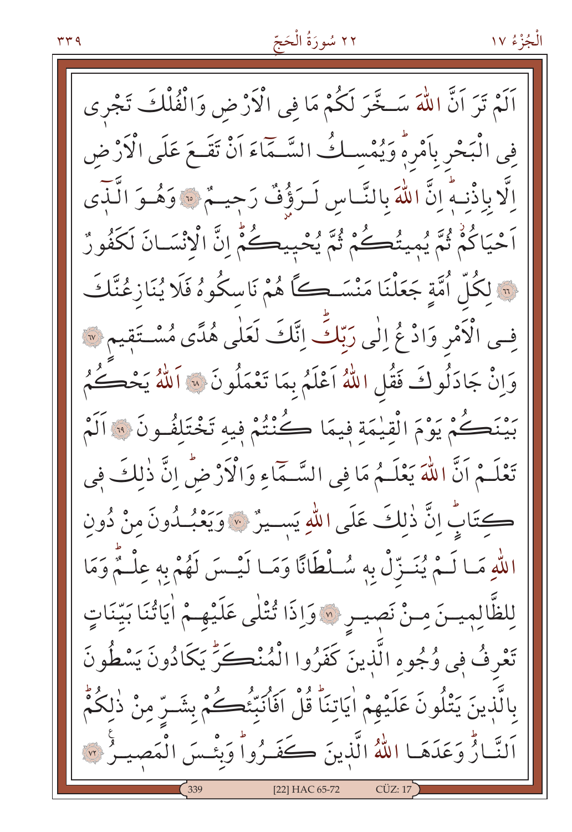اَلَمْ تَرَ اَنَّ اللَّهَ سَـخَّرَ لَكُمْ مَا في الْأَرْضِ وَالْفُلْكَ تَجْرِي فِي الْبَحْرِ بِأَمْرِهِ وَيُمْسِكُ السَّـمَاءَ أَنْ تَقَـعَ عَلَى الْأَرْضِ اِلَّا بِاِذْنِـهِ ۚ إِنَّ اللَّهَ بِالنَّـاسِ لَـرَؤُفٌ رَجِيــمٌ ۞ وَهُـوَ الَّـٰبَى اَحْيَاكُمْ ثُمَّ يُمِيتُكُمْ ثُمَّ يُحْيِيكُمْ إِنَّ الْإِنْسَانَ لَكَفُورٌ ِ لَكُلِّ اُمَّةٍ جَعَلْنَا مَنْسَــِكًا هُمْ نَاسِكُوهُ فَلَا يُنَازِعُنَّكَ فِسِي الْأَمْرِ وَادْعُ اللِّي رَبِّكَ اِنَّكَ لَعَلٰى هُدًى مُسْتَقِيمٍ ۞ وَإِنْ جَادَلُوكَ فَقُلِ اللَّهُ اَعْلَمُ بِمَا تَعْمَلُونَ ۞ اَللَّهُ يَحْكُمُ بَيْنَكُمْ يَوْمَ الْقِيْمَةِ فِيمَا كُنْتُمْ فِيهِ تَخْتَلِفُونَ ۞ اَلَمْ تَعْلَـمْ اَنَّ اللَّهَ يَعْلَـمُ مَا فِي السَّـمَّاءِ وَالْأَرْضُّ إِنَّ ذٰلِكَ فِي كتَابٌ إِنَّ ذٰلِكَ عَلَى اللَّهِ يَسِيرٌ ۞ وَيَعْبُدُونَ مِنْ دُونِ اللَّهِ مَا لَـمْ يُنَـزِّلْ بِهِ سُـلْطَانًا وَمَـا لَيْـسَ لَهُمْ بِهِ عِلْـمٌ وَمَا لِلظَّالِمِيسَ مِنْ نَصِيبِ ۞ وَإِذَا تُتْلَى عَلَيْهِـمْ أَيَاتُنَا بَيِّنَاتٍ تَعْرِفُ فِي وُجُوهِ الَّذِينَ كَفَرُوا الْمُنْكَنِّ يَكَادُونَ يَسْطُونَ بِالَّذِينَ يَتْلُونَ عَلَيْهِمْ اٰيَاتِنَا ۚ قُلْ اَفَاٰنَبِّئُكَـــُمْ بِشَــرِّ مِنْ ذٰلِكُمُّ اَلنَّارُّ وَعَدَهَا اللهُ الَّذِينَ كَفَرُواْ وَبِئْسَ الْمَصِيرُ ۞ [22] HAC 65-72